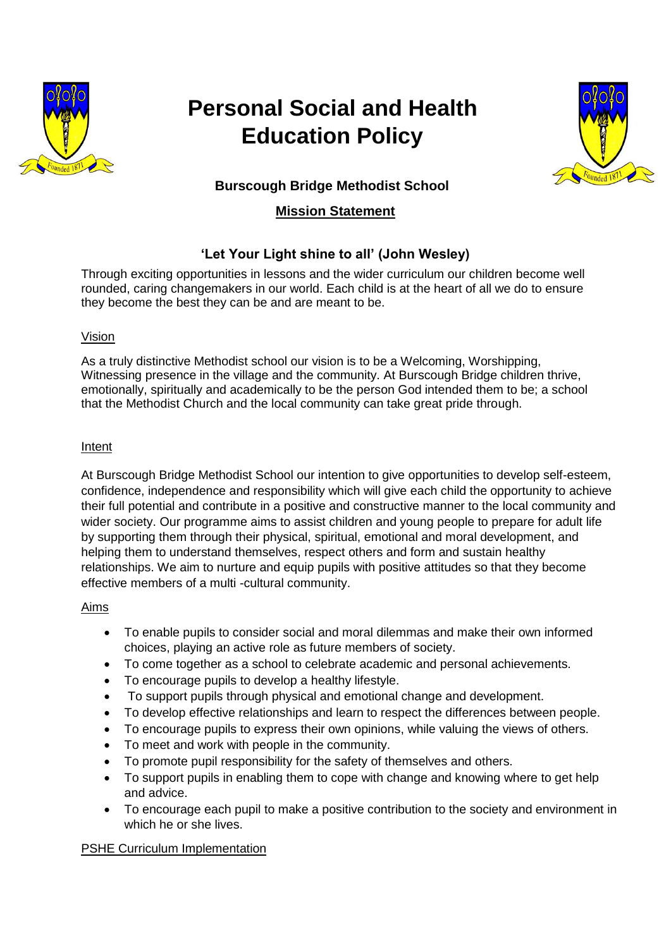

# **Personal Social and Health Education Policy**



# **Burscough Bridge Methodist School**

# **Mission Statement**

# **'Let Your Light shine to all' (John Wesley)**

Through exciting opportunities in lessons and the wider curriculum our children become well rounded, caring changemakers in our world. Each child is at the heart of all we do to ensure they become the best they can be and are meant to be.

## Vision

As a truly distinctive Methodist school our vision is to be a Welcoming, Worshipping, Witnessing presence in the village and the community. At Burscough Bridge children thrive, emotionally, spiritually and academically to be the person God intended them to be; a school that the Methodist Church and the local community can take great pride through.

## Intent

At Burscough Bridge Methodist School our intention to give opportunities to develop self-esteem, confidence, independence and responsibility which will give each child the opportunity to achieve their full potential and contribute in a positive and constructive manner to the local community and wider society. Our programme aims to assist children and young people to prepare for adult life by supporting them through their physical, spiritual, emotional and moral development, and helping them to understand themselves, respect others and form and sustain healthy relationships. We aim to nurture and equip pupils with positive attitudes so that they become effective members of a multi -cultural community.

## Aims

- To enable pupils to consider social and moral dilemmas and make their own informed choices, playing an active role as future members of society.
- To come together as a school to celebrate academic and personal achievements.
- To encourage pupils to develop a healthy lifestyle.
- To support pupils through physical and emotional change and development.
- To develop effective relationships and learn to respect the differences between people.
- To encourage pupils to express their own opinions, while valuing the views of others.
- To meet and work with people in the community.
- To promote pupil responsibility for the safety of themselves and others.
- To support pupils in enabling them to cope with change and knowing where to get help and advice.
- To encourage each pupil to make a positive contribution to the society and environment in which he or she lives.

## PSHE Curriculum Implementation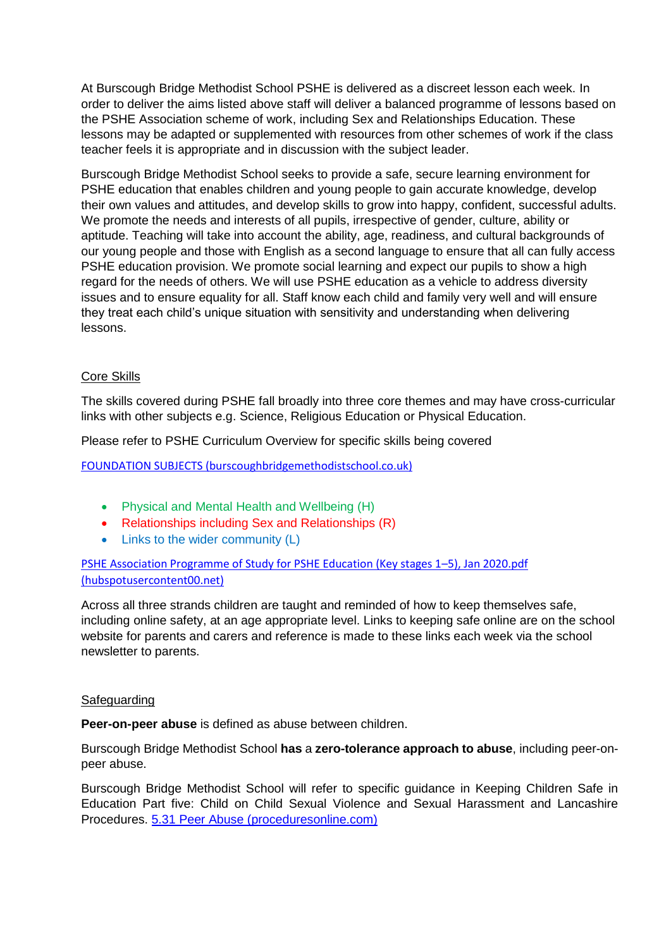At Burscough Bridge Methodist School PSHE is delivered as a discreet lesson each week. In order to deliver the aims listed above staff will deliver a balanced programme of lessons based on the PSHE Association scheme of work, including Sex and Relationships Education. These lessons may be adapted or supplemented with resources from other schemes of work if the class teacher feels it is appropriate and in discussion with the subject leader.

Burscough Bridge Methodist School seeks to provide a safe, secure learning environment for PSHE education that enables children and young people to gain accurate knowledge, develop their own values and attitudes, and develop skills to grow into happy, confident, successful adults. We promote the needs and interests of all pupils, irrespective of gender, culture, ability or aptitude. Teaching will take into account the ability, age, readiness, and cultural backgrounds of our young people and those with English as a second language to ensure that all can fully access PSHE education provision. We promote social learning and expect our pupils to show a high regard for the needs of others. We will use PSHE education as a vehicle to address diversity issues and to ensure equality for all. Staff know each child and family very well and will ensure they treat each child's unique situation with sensitivity and understanding when delivering lessons.

#### Core Skills

The skills covered during PSHE fall broadly into three core themes and may have cross-curricular links with other subjects e.g. Science, Religious Education or Physical Education.

Please refer to PSHE Curriculum Overview for specific skills being covered

[FOUNDATION SUBJECTS \(burscoughbridgemethodistschool.co.uk\)](https://burscoughbridgemethodistschool.co.uk/foundation-subjects/#carousel_2225)

- Physical and Mental Health and Wellbeing (H)
- Relationships including Sex and Relationships (R)
- Links to the wider community (L)

[PSHE Association Programme of Study for PSHE Education \(Key stages 1](https://fs.hubspotusercontent00.net/hubfs/20248256/Programme%20of%20Study/PSHE%20Association%20Programme%20of%20Study%20for%20PSHE%20Education%20(Key%20stages%201%E2%80%935)%2c%20Jan%202020.pdf?hsCtaTracking=d718fa8f-77a8-445b-a64e-bb10ca9a52d8%7C90ef65f6-90ab-4e84-af7b-92884c142b27)–5), Jan 2020.pdf [\(hubspotusercontent00.net\)](https://fs.hubspotusercontent00.net/hubfs/20248256/Programme%20of%20Study/PSHE%20Association%20Programme%20of%20Study%20for%20PSHE%20Education%20(Key%20stages%201%E2%80%935)%2c%20Jan%202020.pdf?hsCtaTracking=d718fa8f-77a8-445b-a64e-bb10ca9a52d8%7C90ef65f6-90ab-4e84-af7b-92884c142b27)

Across all three strands children are taught and reminded of how to keep themselves safe, including online safety, at an age appropriate level. Links to keeping safe online are on the school website for parents and carers and reference is made to these links each week via the school newsletter to parents.

#### Safeguarding

**Peer-on-peer abuse** is defined as abuse between children.

Burscough Bridge Methodist School **has** a **zero-tolerance approach to abuse**, including peer-onpeer abuse.

Burscough Bridge Methodist School will refer to specific guidance in Keeping Children Safe in Education Part five: Child on Child Sexual Violence and Sexual Harassment and Lancashire Procedures. [5.31 Peer Abuse \(proceduresonline.com\)](https://panlancashirescb.proceduresonline.com/chapters/p_peer_abuse.html)